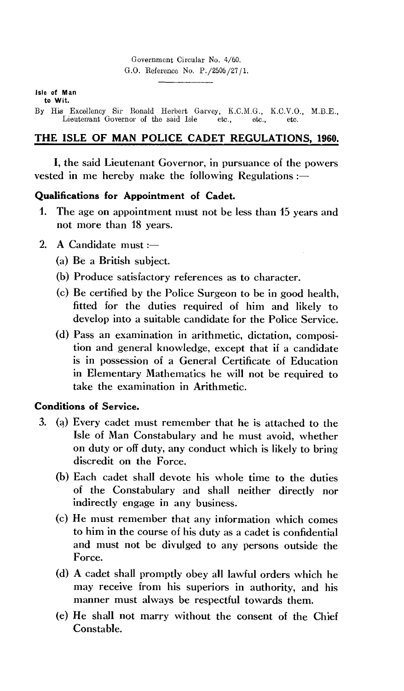Government Circular No. 4/60. G.O. Reference No. P./2506 /27 / 1.

#### **Isle of Man to Wit.**

By His Excellency Sir Ronald Herbert Garvey, K.C.M.G., K.C.V.O., M.B.E., Lieutenant Governor of the said Isle etc., etc., etc. Lieutenant Governor of the said Isle

# **THE ISLE OF MAN POLICE CADET REGULATIONS, 1960.**

I, the said Lieutenant Governor, in pursuance of the powers vested in me hereby make the following Regulations :—

### **Qualifications for Appointment of Cadet.**

- **1.** The age on appointment must not be less than 15 years and not more than 18 years.
- 2. A Candidate must : $-$ 
	- (a) Be a British subject.
	- (b) Produce satisfactory references as to character.
	- (c) Be certified by the Police Surgeon to be in good health, fitted for the duties required of him and likely to develop into a suitable candidate for the Police Service.
	- (d) Pass an examination in arithmetic, dictation, composition and general knowledge, except that if a candidate is in possession of a General Certificate of Education in Elementary Mathematics he will not be required to take the examination in Arithmetic.

# **Conditions of Service.**

- 3. (a) Every cadet must remember that he is attached to the Isle of Man Constabulary and he must avoid, whether on duty or off duty, any conduct which is likely to bring discredit on the Force.
	- (b) Each cadet shall devote his whole time to the duties of the Constabulary and shall neither directly nor indirectly engage in any business.
	- (c) He must remember that any information which comes to him in the course of his duty as a cadet is confidential and must not be divulged to any persons outside the Force.
	- (d) A cadet shall promptly obey all lawful orders which he may receive from his superiors in authority, and his manner must always be respectful towards them.
	- (e) He shall not marry without the consent of the Chief Constable.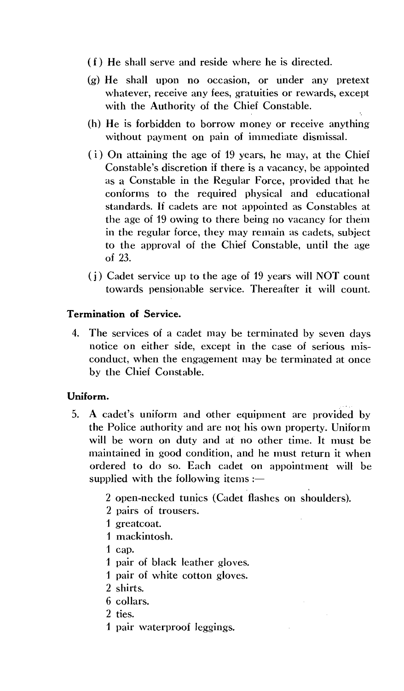- ( f ) He shall serve and reside where he is directed.
- (g) He shall upon no occasion, or under any pretext whatever, receive any fees, gratuities or rewards, except with the Authority of the Chief Constable.
- (h) He is forbidden to borrow money or receive anything without payment on pain of immediate dismissal.
- $(i)$  On attaining the age of 19 years, he may, at the Chief Constable's discretion if there is a vacancy, be appointed as a Constable in the Regular Force, provided that he conforms to the required physical and educational standards. If cadets are not appointed as Constables at the age of 19 owing to there being no vacancy for them in the regular force, they may remain as cadets, subject to the approval of the Chief Constable, until the age of 23.
- $(i)$  Cadet service up to the age of 19 years will NOT count towards pensionable service. Thereafter it will count.

### **Termination of Service.**

4. The services of a cadet may be terminated by seven days notice on either side, except in the case of serious misconduct, when the engagement may be terminated at once by the Chief Constable.

### **Uniform.**

- 5. A cadet's uniform and other equipment are provided by the Police authority and are not his own property. Uniform will be worn on duty and at no other time. It must be maintained in good condition, and he must return it when ordered to do so. Each cadet on appointment will be supplied with the following items  $:=$ 
	- 2 open-necked tunics (Cadet flashes on shoulders).
	- 2 pairs of trousers.
	- 1 greatcoat.
	- 1 mackintosh.
	- 1 cap.
	- 1 pair of black leather gloves.
	- 1 pair of white cotton gloves.
	- 2 shirts.
	- 6 collars.
	- 2 ties.
	- 1 pair waterproof leggings.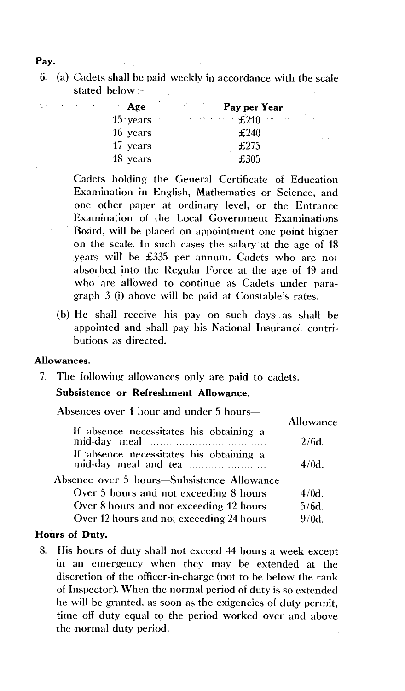**Pay.** 

6. (a) Cadets shall be paid weekly in accordance with the scale stated below :-

| $\cdot$ Age | Pay per Year                      |    |
|-------------|-----------------------------------|----|
| $15$ years  | $\mathbf{E210}$ . $\mathbf{E210}$ | Ò. |
| 16 years    | £240                              |    |
| 17 years    | £275                              |    |
| 18 years    | £305                              |    |

 $\sim 1$ 

Cadets holding the General Certificate of Education Examination in English, Mathematics or Science, and one other paper at ordinary level, or the Entrance Examination of the Local Government Examinations Board, will be placed on appointment one point higher on the scale. In such cases the salary at the age of 18 years will be £335 per annum. Cadets who are not absorbed into the Regular Force at the age of 19 and who are allowed to continue as Cadets under paragraph 3 (i) above will be paid at Constable's rates.

(b) He shall receive his pay on such days as shall be appointed and shall pay his National Insurance contributions as directed.

### **Allowances.**

**7.** The following allowances only are paid to cadets.

## **Subsistence or Refreshment Allowance.**

Absences over 1 hour and under 5 hours—

| If absence necessitates his obtaining a                         | Allowance |
|-----------------------------------------------------------------|-----------|
|                                                                 | $2/6d$ .  |
| If absence necessitates his obtaining a<br>mid-day meal and tea | $4/0d$ .  |
| Absence over 5 hours—Subsistence Allowance                      |           |
| Over 5 hours and not exceeding 8 hours                          | $4/0d$ .  |
| Over 8 hours and not exceeding 12 hours                         | $5/6d$ .  |
| Over 12 hours and not exceeding 24 hours                        | $9/0d$ .  |
|                                                                 |           |

### **Hours of Duty.**

8. His hours of duty shall not exceed 44 hours a week except in an emergency when they may be extended at the discretion of the officer-in-charge (not to be below the rank of Inspector). When the normal period of duty is so extended he will be granted, as soon as the exigencies of duty permit, time off duty equal to the period worked over and above the normal duty period.